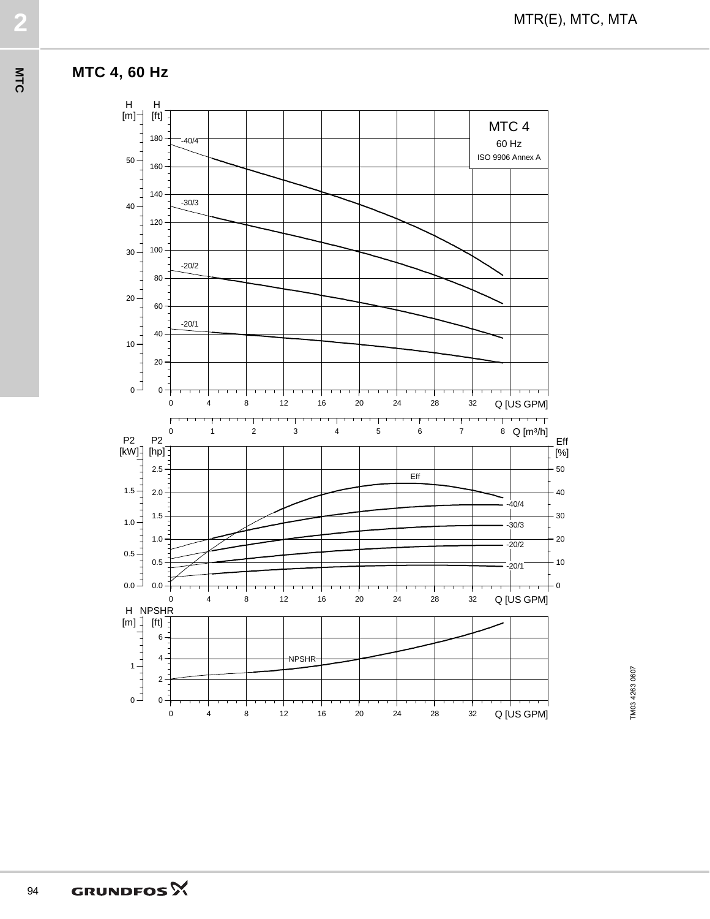

MTR(E), MTC, MTA **2**